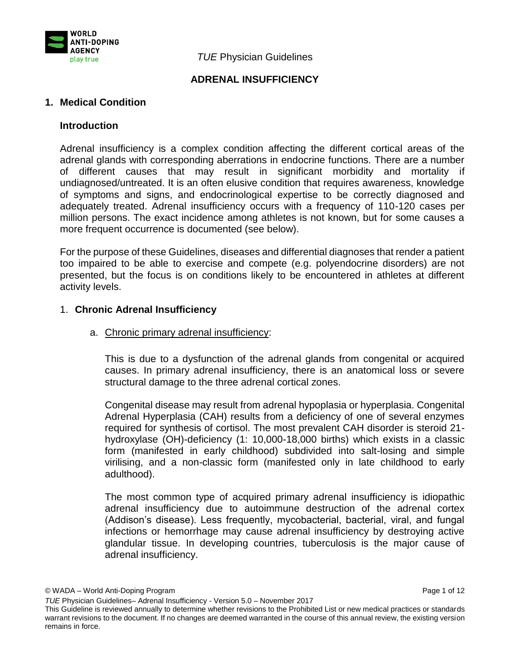

*TUE* Physician Guidelines

# **ADRENAL INSUFFICIENCY**

# **1. Medical Condition**

### **Introduction**

Adrenal insufficiency is a complex condition affecting the different cortical areas of the adrenal glands with corresponding aberrations in endocrine functions. There are a number of different causes that may result in significant morbidity and mortality if undiagnosed/untreated. It is an often elusive condition that requires awareness, knowledge of symptoms and signs, and endocrinological expertise to be correctly diagnosed and adequately treated. Adrenal insufficiency occurs with a frequency of 110-120 cases per million persons. The exact incidence among athletes is not known, but for some causes a more frequent occurrence is documented (see below).

For the purpose of these Guidelines, diseases and differential diagnoses that render a patient too impaired to be able to exercise and compete (e.g. polyendocrine disorders) are not presented, but the focus is on conditions likely to be encountered in athletes at different activity levels.

### 1. **Chronic Adrenal Insufficiency**

#### a. Chronic primary adrenal insufficiency:

This is due to a dysfunction of the adrenal glands from congenital or acquired causes. In primary adrenal insufficiency, there is an anatomical loss or severe structural damage to the three adrenal cortical zones.

Congenital disease may result from adrenal hypoplasia or hyperplasia. Congenital Adrenal Hyperplasia (CAH) results from a deficiency of one of several enzymes required for synthesis of cortisol. The most prevalent CAH disorder is steroid 21 hydroxylase (OH)-deficiency (1: 10,000-18,000 births) which exists in a classic form (manifested in early childhood) subdivided into salt-losing and simple virilising, and a non-classic form (manifested only in late childhood to early adulthood).

The most common type of acquired primary adrenal insufficiency is idiopathic adrenal insufficiency due to autoimmune destruction of the adrenal cortex (Addison's disease). Less frequently, mycobacterial, bacterial, viral, and fungal infections or hemorrhage may cause adrenal insufficiency by destroying active glandular tissue. In developing countries, tuberculosis is the major cause of adrenal insufficiency.

*TUE* Physician Guidelines– Adrenal Insufficiency - Version 5.0 – November 2017

This Guideline is reviewed annually to determine whether revisions to the Prohibited List or new medical practices or standards warrant revisions to the document. If no changes are deemed warranted in the course of this annual review, the existing version remains in force.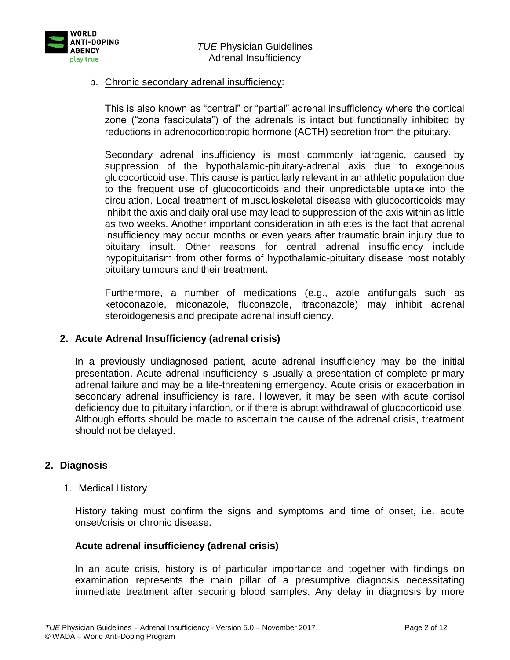*TUE* Physician Guidelines Adrenal Insufficiency



### b. Chronic secondary adrenal insufficiency:

This is also known as "central" or "partial" adrenal insufficiency where the cortical zone ("zona fasciculata") of the adrenals is intact but functionally inhibited by reductions in adrenocorticotropic hormone (ACTH) secretion from the pituitary.

Secondary adrenal insufficiency is most commonly iatrogenic, caused by suppression of the hypothalamic-pituitary-adrenal axis due to exogenous glucocorticoid use. This cause is particularly relevant in an athletic population due to the frequent use of glucocorticoids and their unpredictable uptake into the circulation. Local treatment of musculoskeletal disease with glucocorticoids may inhibit the axis and daily oral use may lead to suppression of the axis within as little as two weeks. Another important consideration in athletes is the fact that adrenal insufficiency may occur months or even years after traumatic brain injury due to pituitary insult. Other reasons for central adrenal insufficiency include hypopituitarism from other forms of hypothalamic-pituitary disease most notably pituitary tumours and their treatment.

Furthermore, a number of medications (e.g., azole antifungals such as ketoconazole, miconazole, fluconazole, itraconazole) may inhibit adrenal steroidogenesis and precipate adrenal insufficiency.

# **2. Acute Adrenal Insufficiency (adrenal crisis)**

In a previously undiagnosed patient, acute adrenal insufficiency may be the initial presentation. Acute adrenal insufficiency is usually a presentation of complete primary adrenal failure and may be a life-threatening emergency. Acute crisis or exacerbation in secondary adrenal insufficiency is rare. However, it may be seen with acute cortisol deficiency due to pituitary infarction, or if there is abrupt withdrawal of glucocorticoid use. Although efforts should be made to ascertain the cause of the adrenal crisis, treatment should not be delayed.

# **2. Diagnosis**

# 1. Medical History

History taking must confirm the signs and symptoms and time of onset, i.e. acute onset/crisis or chronic disease.

# **Acute adrenal insufficiency (adrenal crisis)**

In an acute crisis, history is of particular importance and together with findings on examination represents the main pillar of a presumptive diagnosis necessitating immediate treatment after securing blood samples. Any delay in diagnosis by more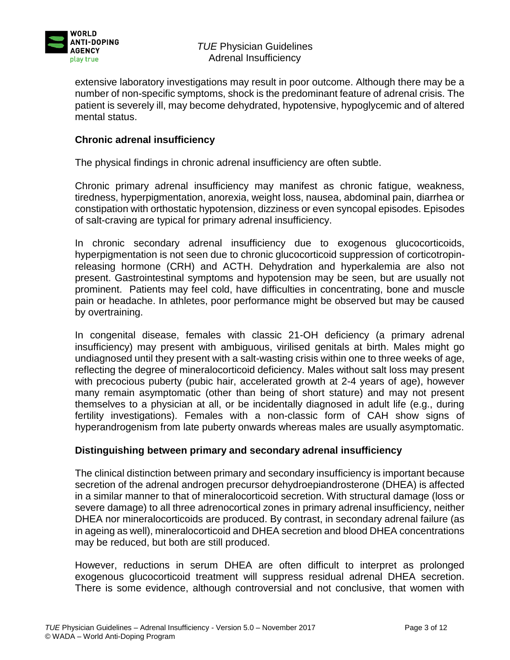

extensive laboratory investigations may result in poor outcome. Although there may be a number of non-specific symptoms, shock is the predominant feature of adrenal crisis. The patient is severely ill, may become dehydrated, hypotensive, hypoglycemic and of altered mental status.

# **Chronic adrenal insufficiency**

The physical findings in chronic adrenal insufficiency are often subtle.

Chronic primary adrenal insufficiency may manifest as chronic fatigue, weakness, tiredness, hyperpigmentation, anorexia, weight loss, nausea, abdominal pain, diarrhea or constipation with orthostatic hypotension, dizziness or even syncopal episodes. Episodes of salt-craving are typical for primary adrenal insufficiency.

In chronic secondary adrenal insufficiency due to exogenous glucocorticoids, hyperpigmentation is not seen due to chronic glucocorticoid suppression of corticotropinreleasing hormone (CRH) and ACTH. Dehydration and hyperkalemia are also not present. Gastrointestinal symptoms and hypotension may be seen, but are usually not prominent. Patients may feel cold, have difficulties in concentrating, bone and muscle pain or headache. In athletes, poor performance might be observed but may be caused by overtraining.

In congenital disease, females with classic 21-OH deficiency (a primary adrenal insufficiency) may present with ambiguous, virilised genitals at birth. Males might go undiagnosed until they present with a salt-wasting crisis within one to three weeks of age, reflecting the degree of mineralocorticoid deficiency. Males without salt loss may present with precocious puberty (pubic hair, accelerated growth at 2-4 years of age), however many remain asymptomatic (other than being of short stature) and may not present themselves to a physician at all, or be incidentally diagnosed in adult life (e.g., during fertility investigations). Females with a non-classic form of CAH show signs of hyperandrogenism from late puberty onwards whereas males are usually asymptomatic.

# **Distinguishing between primary and secondary adrenal insufficiency**

The clinical distinction between primary and secondary insufficiency is important because secretion of the adrenal androgen precursor dehydroepiandrosterone (DHEA) is affected in a similar manner to that of mineralocorticoid secretion. With structural damage (loss or severe damage) to all three adrenocortical zones in primary adrenal insufficiency, neither DHEA nor mineralocorticoids are produced. By contrast, in secondary adrenal failure (as in ageing as well), mineralocorticoid and DHEA secretion and blood DHEA concentrations may be reduced, but both are still produced.

However, reductions in serum DHEA are often difficult to interpret as prolonged exogenous glucocorticoid treatment will suppress residual adrenal DHEA secretion. There is some evidence, although controversial and not conclusive, that women with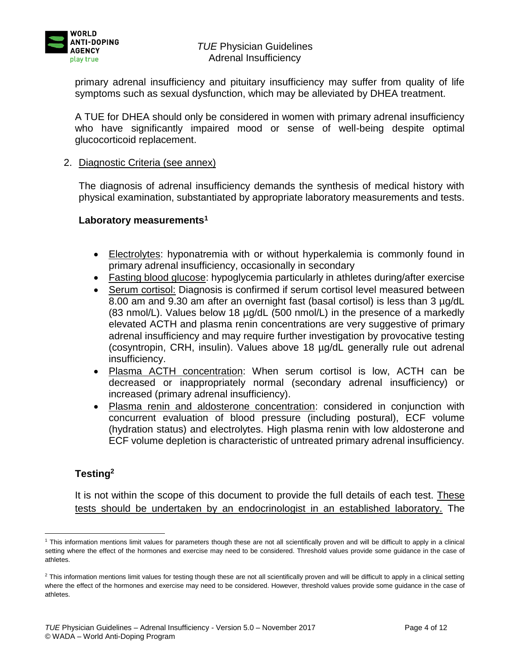

### *TUE* Physician Guidelines Adrenal Insufficiency

primary adrenal insufficiency and pituitary insufficiency may suffer from quality of life symptoms such as sexual dysfunction, which may be alleviated by DHEA treatment.

A TUE for DHEA should only be considered in women with primary adrenal insufficiency who have significantly impaired mood or sense of well-being despite optimal glucocorticoid replacement.

### 2. Diagnostic Criteria (see annex)

The diagnosis of adrenal insufficiency demands the synthesis of medical history with physical examination, substantiated by appropriate laboratory measurements and tests.

### **Laboratory measurements<sup>1</sup>**

- Electrolytes: hyponatremia with or without hyperkalemia is commonly found in primary adrenal insufficiency, occasionally in secondary
- Fasting blood glucose: hypoglycemia particularly in athletes during/after exercise
- Serum cortisol: Diagnosis is confirmed if serum cortisol level measured between 8.00 am and 9.30 am after an overnight fast (basal cortisol) is less than 3 µg/dL (83 nmol/L). Values below 18 µg/dL (500 nmol/L) in the presence of a markedly elevated ACTH and plasma renin concentrations are very suggestive of primary adrenal insufficiency and may require further investigation by provocative testing (cosyntropin, CRH, insulin). Values above 18 µg/dL generally rule out adrenal insufficiency.
- Plasma ACTH concentration: When serum cortisol is low, ACTH can be decreased or inappropriately normal (secondary adrenal insufficiency) or increased (primary adrenal insufficiency).
- Plasma renin and aldosterone concentration: considered in conjunction with concurrent evaluation of blood pressure (including postural), ECF volume (hydration status) and electrolytes. High plasma renin with low aldosterone and ECF volume depletion is characteristic of untreated primary adrenal insufficiency.

# **Testing<sup>2</sup>**

 $\overline{\phantom{a}}$ 

It is not within the scope of this document to provide the full details of each test. These tests should be undertaken by an endocrinologist in an established laboratory. The

<sup>1</sup> This information mentions limit values for parameters though these are not all scientifically proven and will be difficult to apply in a clinical setting where the effect of the hormones and exercise may need to be considered. Threshold values provide some guidance in the case of athletes.

 $2$  This information mentions limit values for testing though these are not all scientifically proven and will be difficult to apply in a clinical setting where the effect of the hormones and exercise may need to be considered. However, threshold values provide some guidance in the case of athletes.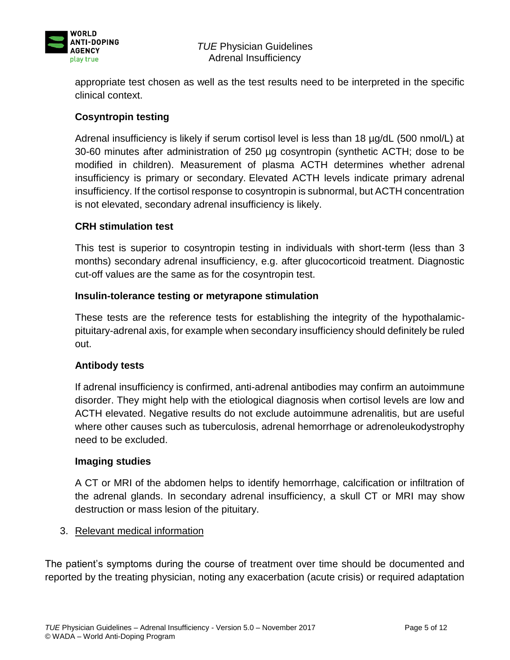

appropriate test chosen as well as the test results need to be interpreted in the specific clinical context.

# **Cosyntropin testing**

Adrenal insufficiency is likely if serum cortisol level is less than 18 µg/dL (500 nmol/L) at 30-60 minutes after administration of 250 µg cosyntropin (synthetic ACTH; dose to be modified in children). Measurement of plasma ACTH determines whether adrenal insufficiency is primary or secondary. Elevated ACTH levels indicate primary adrenal insufficiency. If the cortisol response to cosyntropin is subnormal, but ACTH concentration is not elevated, secondary adrenal insufficiency is likely.

# **CRH stimulation test**

This test is superior to cosyntropin testing in individuals with short-term (less than 3 months) secondary adrenal insufficiency, e.g. after glucocorticoid treatment. Diagnostic cut-off values are the same as for the cosyntropin test.

### **Insulin-tolerance testing or metyrapone stimulation**

These tests are the reference tests for establishing the integrity of the hypothalamicpituitary-adrenal axis, for example when secondary insufficiency should definitely be ruled out.

#### **Antibody tests**

If adrenal insufficiency is confirmed, anti-adrenal antibodies may confirm an autoimmune disorder. They might help with the etiological diagnosis when cortisol levels are low and ACTH elevated. Negative results do not exclude autoimmune adrenalitis, but are useful where other causes such as tuberculosis, adrenal hemorrhage or adrenoleukodystrophy need to be excluded.

#### **Imaging studies**

A CT or MRI of the abdomen helps to identify hemorrhage, calcification or infiltration of the adrenal glands. In secondary adrenal insufficiency, a skull CT or MRI may show destruction or mass lesion of the pituitary.

# 3. Relevant medical information

The patient's symptoms during the course of treatment over time should be documented and reported by the treating physician, noting any exacerbation (acute crisis) or required adaptation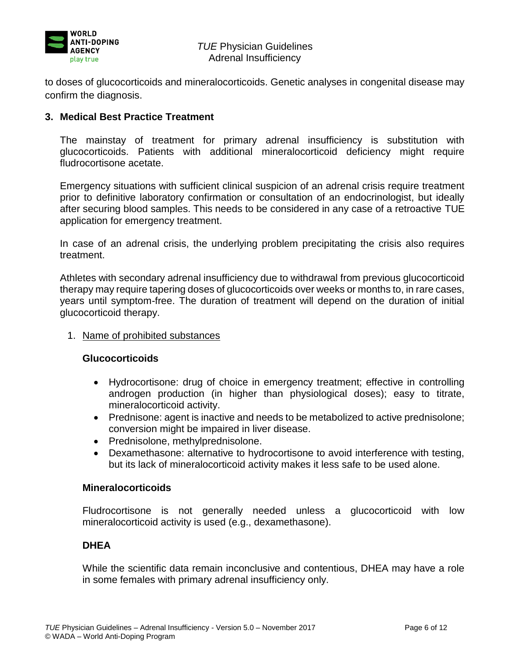

to doses of glucocorticoids and mineralocorticoids. Genetic analyses in congenital disease may confirm the diagnosis.

# **3. Medical Best Practice Treatment**

The mainstay of treatment for primary adrenal insufficiency is substitution with glucocorticoids. Patients with additional mineralocorticoid deficiency might require fludrocortisone acetate.

Emergency situations with sufficient clinical suspicion of an adrenal crisis require treatment prior to definitive laboratory confirmation or consultation of an endocrinologist, but ideally after securing blood samples. This needs to be considered in any case of a retroactive TUE application for emergency treatment.

In case of an adrenal crisis, the underlying problem precipitating the crisis also requires treatment.

Athletes with secondary adrenal insufficiency due to withdrawal from previous glucocorticoid therapy may require tapering doses of glucocorticoids over weeks or months to, in rare cases, years until symptom-free. The duration of treatment will depend on the duration of initial glucocorticoid therapy.

1. Name of prohibited substances

# **Glucocorticoids**

- Hydrocortisone: drug of choice in emergency treatment; effective in controlling androgen production (in higher than physiological doses); easy to titrate, mineralocorticoid activity.
- Prednisone: agent is inactive and needs to be metabolized to active prednisolone; conversion might be impaired in liver disease.
- Prednisolone, methylprednisolone.
- Dexamethasone: alternative to hydrocortisone to avoid interference with testing, but its lack of mineralocorticoid activity makes it less safe to be used alone.

#### **Mineralocorticoids**

Fludrocortisone is not generally needed unless a glucocorticoid with low mineralocorticoid activity is used (e.g., dexamethasone).

# **DHEA**

While the scientific data remain inconclusive and contentious, DHEA may have a role in some females with primary adrenal insufficiency only.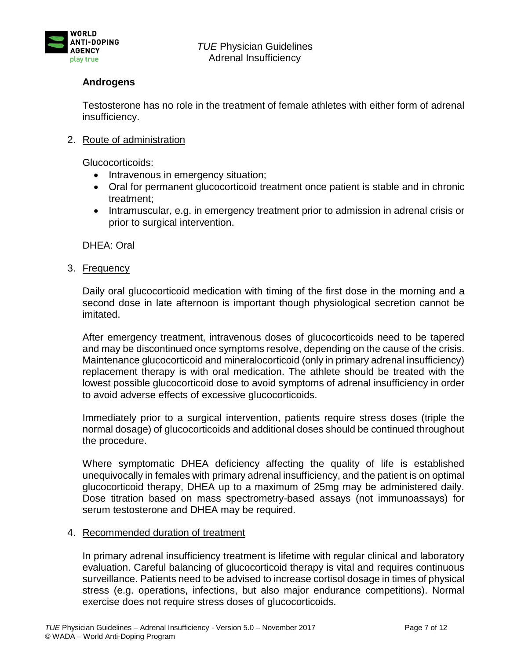

# **Androgens**

Testosterone has no role in the treatment of female athletes with either form of adrenal insufficiency.

2. Route of administration

Glucocorticoids:

- Intravenous in emergency situation;
- Oral for permanent glucocorticoid treatment once patient is stable and in chronic treatment;
- Intramuscular, e.g. in emergency treatment prior to admission in adrenal crisis or prior to surgical intervention.

DHEA: Oral

3. Frequency

Daily oral glucocorticoid medication with timing of the first dose in the morning and a second dose in late afternoon is important though physiological secretion cannot be imitated.

After emergency treatment, intravenous doses of glucocorticoids need to be tapered and may be discontinued once symptoms resolve, depending on the cause of the crisis. Maintenance glucocorticoid and mineralocorticoid (only in primary adrenal insufficiency) replacement therapy is with oral medication. The athlete should be treated with the lowest possible glucocorticoid dose to avoid symptoms of adrenal insufficiency in order to avoid adverse effects of excessive glucocorticoids.

Immediately prior to a surgical intervention, patients require stress doses (triple the normal dosage) of glucocorticoids and additional doses should be continued throughout the procedure.

Where symptomatic DHEA deficiency affecting the quality of life is established unequivocally in females with primary adrenal insufficiency, and the patient is on optimal glucocorticoid therapy, DHEA up to a maximum of 25mg may be administered daily. Dose titration based on mass spectrometry-based assays (not immunoassays) for serum testosterone and DHEA may be required.

#### 4. Recommended duration of treatment

In primary adrenal insufficiency treatment is lifetime with regular clinical and laboratory evaluation. Careful balancing of glucocorticoid therapy is vital and requires continuous surveillance. Patients need to be advised to increase cortisol dosage in times of physical stress (e.g. operations, infections, but also major endurance competitions). Normal exercise does not require stress doses of glucocorticoids.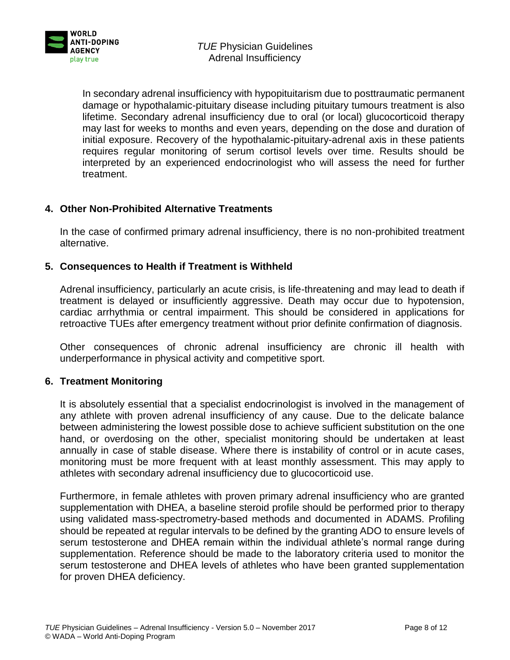

In secondary adrenal insufficiency with hypopituitarism due to posttraumatic permanent damage or hypothalamic-pituitary disease including pituitary tumours treatment is also lifetime. Secondary adrenal insufficiency due to oral (or local) glucocorticoid therapy may last for weeks to months and even years, depending on the dose and duration of initial exposure. Recovery of the hypothalamic-pituitary-adrenal axis in these patients requires regular monitoring of serum cortisol levels over time. Results should be interpreted by an experienced endocrinologist who will assess the need for further treatment.

# **4. Other Non-Prohibited Alternative Treatments**

In the case of confirmed primary adrenal insufficiency, there is no non-prohibited treatment alternative.

# **5. Consequences to Health if Treatment is Withheld**

Adrenal insufficiency, particularly an acute crisis, is life-threatening and may lead to death if treatment is delayed or insufficiently aggressive. Death may occur due to hypotension, cardiac arrhythmia or central impairment. This should be considered in applications for retroactive TUEs after emergency treatment without prior definite confirmation of diagnosis.

Other consequences of chronic adrenal insufficiency are chronic ill health with underperformance in physical activity and competitive sport.

# **6. Treatment Monitoring**

It is absolutely essential that a specialist endocrinologist is involved in the management of any athlete with proven adrenal insufficiency of any cause. Due to the delicate balance between administering the lowest possible dose to achieve sufficient substitution on the one hand, or overdosing on the other, specialist monitoring should be undertaken at least annually in case of stable disease. Where there is instability of control or in acute cases, monitoring must be more frequent with at least monthly assessment. This may apply to athletes with secondary adrenal insufficiency due to glucocorticoid use.

Furthermore, in female athletes with proven primary adrenal insufficiency who are granted supplementation with DHEA, a baseline steroid profile should be performed prior to therapy using validated mass-spectrometry-based methods and documented in ADAMS. Profiling should be repeated at regular intervals to be defined by the granting ADO to ensure levels of serum testosterone and DHEA remain within the individual athlete's normal range during supplementation. Reference should be made to the laboratory criteria used to monitor the serum testosterone and DHEA levels of athletes who have been granted supplementation for proven DHEA deficiency.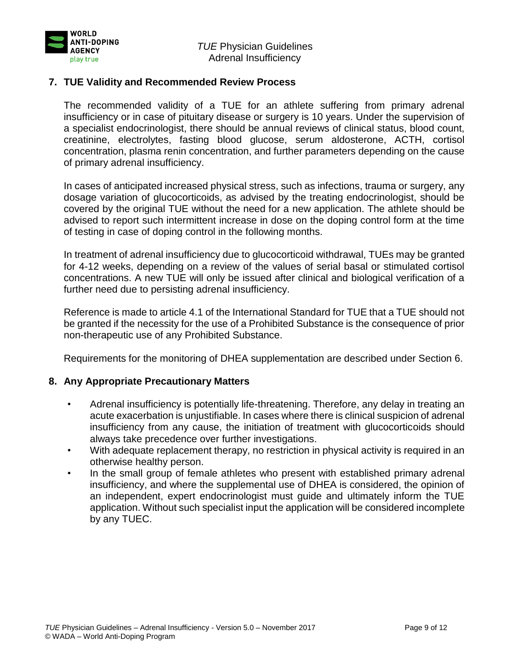



### **7. TUE Validity and Recommended Review Process**

The recommended validity of a TUE for an athlete suffering from primary adrenal insufficiency or in case of pituitary disease or surgery is 10 years. Under the supervision of a specialist endocrinologist, there should be annual reviews of clinical status, blood count, creatinine, electrolytes, fasting blood glucose, serum aldosterone, ACTH, cortisol concentration, plasma renin concentration, and further parameters depending on the cause of primary adrenal insufficiency.

In cases of anticipated increased physical stress, such as infections, trauma or surgery, any dosage variation of glucocorticoids, as advised by the treating endocrinologist, should be covered by the original TUE without the need for a new application. The athlete should be advised to report such intermittent increase in dose on the doping control form at the time of testing in case of doping control in the following months.

In treatment of adrenal insufficiency due to glucocorticoid withdrawal, TUEs may be granted for 4-12 weeks, depending on a review of the values of serial basal or stimulated cortisol concentrations. A new TUE will only be issued after clinical and biological verification of a further need due to persisting adrenal insufficiency.

Reference is made to article 4.1 of the International Standard for TUE that a TUE should not be granted if the necessity for the use of a Prohibited Substance is the consequence of prior non-therapeutic use of any Prohibited Substance.

Requirements for the monitoring of DHEA supplementation are described under Section 6.

# **8. Any Appropriate Precautionary Matters**

- Adrenal insufficiency is potentially life-threatening. Therefore, any delay in treating an acute exacerbation is unjustifiable. In cases where there is clinical suspicion of adrenal insufficiency from any cause, the initiation of treatment with glucocorticoids should always take precedence over further investigations.
- With adequate replacement therapy, no restriction in physical activity is required in an otherwise healthy person.
- In the small group of female athletes who present with established primary adrenal insufficiency, and where the supplemental use of DHEA is considered, the opinion of an independent, expert endocrinologist must guide and ultimately inform the TUE application. Without such specialist input the application will be considered incomplete by any TUEC.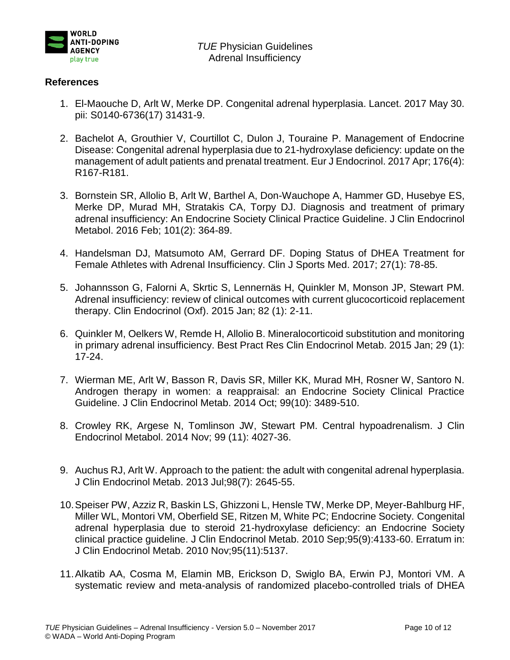

### **References**

- 1. El-Maouche D, Arlt W, Merke DP. Congenital adrenal hyperplasia. Lancet. 2017 May 30. pii: S0140-6736(17) 31431-9.
- 2. Bachelot A, Grouthier V, Courtillot C, Dulon J, Touraine P. Management of Endocrine Disease: Congenital adrenal hyperplasia due to 21-hydroxylase deficiency: update on the management of adult patients and prenatal treatment. Eur J Endocrinol. 2017 Apr; 176(4): R167-R181.
- 3. Bornstein SR, Allolio B, Arlt W, Barthel A, Don-Wauchope A, Hammer GD, Husebye ES, Merke DP, Murad MH, Stratakis CA, Torpy DJ. Diagnosis and treatment of primary adrenal insufficiency: An Endocrine Society Clinical Practice Guideline. J Clin Endocrinol Metabol. 2016 Feb; 101(2): 364-89.
- 4. Handelsman DJ, Matsumoto AM, Gerrard DF. Doping Status of DHEA Treatment for Female Athletes with Adrenal Insufficiency. Clin J Sports Med. 2017; 27(1): 78-85.
- 5. Johannsson G, Falorni A, Skrtic S, Lennernäs H, Quinkler M, Monson JP, Stewart PM. Adrenal insufficiency: review of clinical outcomes with current glucocorticoid replacement therapy. Clin Endocrinol (Oxf). 2015 Jan; 82 (1): 2-11.
- 6. Quinkler M, Oelkers W, Remde H, Allolio B. Mineralocorticoid substitution and monitoring in primary adrenal insufficiency. Best Pract Res Clin Endocrinol Metab. 2015 Jan; 29 (1): 17-24.
- 7. Wierman ME, Arlt W, Basson R, Davis SR, Miller KK, Murad MH, Rosner W, Santoro N. Androgen therapy in women: a reappraisal: an Endocrine Society Clinical Practice Guideline. J Clin Endocrinol Metab. 2014 Oct; 99(10): 3489-510.
- 8. Crowley RK, Argese N, Tomlinson JW, Stewart PM. Central hypoadrenalism. J Clin Endocrinol Metabol. 2014 Nov; 99 (11): 4027-36.
- 9. Auchus RJ, Arlt W. Approach to the patient: the adult with congenital adrenal hyperplasia. J Clin Endocrinol Metab. 2013 Jul;98(7): 2645-55.
- 10.Speiser PW, Azziz R, Baskin LS, Ghizzoni L, Hensle TW, Merke DP, Meyer-Bahlburg HF, Miller WL, Montori VM, Oberfield SE, Ritzen M, White PC; Endocrine Society. Congenital adrenal hyperplasia due to steroid 21-hydroxylase deficiency: an Endocrine Society clinical practice guideline. J Clin Endocrinol Metab. 2010 Sep;95(9):4133-60. Erratum in: J Clin Endocrinol Metab. 2010 Nov;95(11):5137.
- 11.Alkatib AA, Cosma M, Elamin MB, Erickson D, Swiglo BA, Erwin PJ, Montori VM. A systematic review and meta-analysis of randomized placebo-controlled trials of DHEA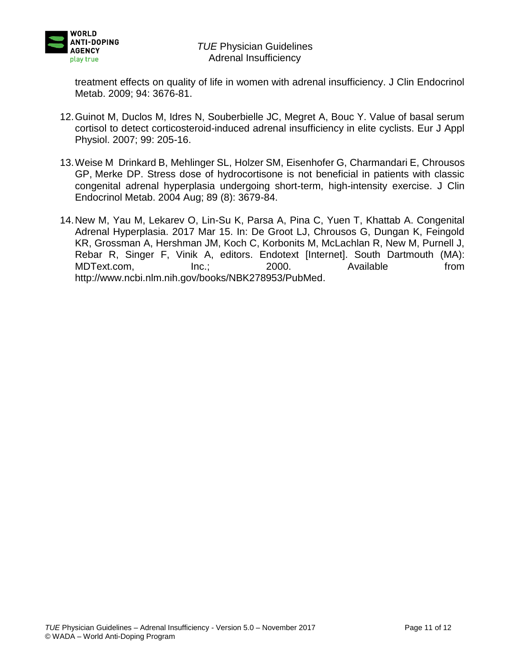

treatment effects on quality of life in women with adrenal insufficiency. J Clin Endocrinol Metab. 2009; 94: 3676-81.

- 12.Guinot M, Duclos M, Idres N, Souberbielle JC, Megret A, Bouc Y. Value of basal serum cortisol to detect corticosteroid-induced adrenal insufficiency in elite cyclists. Eur J Appl Physiol. 2007; 99: 205-16.
- 13.Weise M [Drinkard B,](http://www.ncbi.nlm.nih.gov/pubmed/?term=Drinkard%20B%5BAuthor%5D&cauthor=true&cauthor_uid=15292287) [Mehlinger SL,](http://www.ncbi.nlm.nih.gov/pubmed/?term=Mehlinger%20SL%5BAuthor%5D&cauthor=true&cauthor_uid=15292287) [Holzer SM,](http://www.ncbi.nlm.nih.gov/pubmed/?term=Holzer%20SM%5BAuthor%5D&cauthor=true&cauthor_uid=15292287) [Eisenhofer G,](http://www.ncbi.nlm.nih.gov/pubmed/?term=Eisenhofer%20G%5BAuthor%5D&cauthor=true&cauthor_uid=15292287) [Charmandari E,](http://www.ncbi.nlm.nih.gov/pubmed/?term=Charmandari%20E%5BAuthor%5D&cauthor=true&cauthor_uid=15292287) [Chrousos](http://www.ncbi.nlm.nih.gov/pubmed/?term=Chrousos%20GP%5BAuthor%5D&cauthor=true&cauthor_uid=15292287)  [GP,](http://www.ncbi.nlm.nih.gov/pubmed/?term=Chrousos%20GP%5BAuthor%5D&cauthor=true&cauthor_uid=15292287) [Merke DP.](http://www.ncbi.nlm.nih.gov/pubmed/?term=Merke%20DP%5BAuthor%5D&cauthor=true&cauthor_uid=15292287) Stress dose of hydrocortisone is not beneficial in patients with classic congenital adrenal hyperplasia undergoing short-term, high-intensity exercise. J Clin Endocrinol Metab. 2004 Aug; 89 (8): 3679-84.
- 14.New M, Yau M, Lekarev O, Lin-Su K, Parsa A, Pina C, Yuen T, Khattab A. Congenital Adrenal Hyperplasia. 2017 Mar 15. In: De Groot LJ, Chrousos G, Dungan K, Feingold KR, Grossman A, Hershman JM, Koch C, Korbonits M, McLachlan R, New M, Purnell J, Rebar R, Singer F, Vinik A, editors. Endotext [Internet]. South Dartmouth (MA): MDText.com, Inc.; 2000. Available from http://www.ncbi.nlm.nih.gov/books/NBK278953/PubMed.